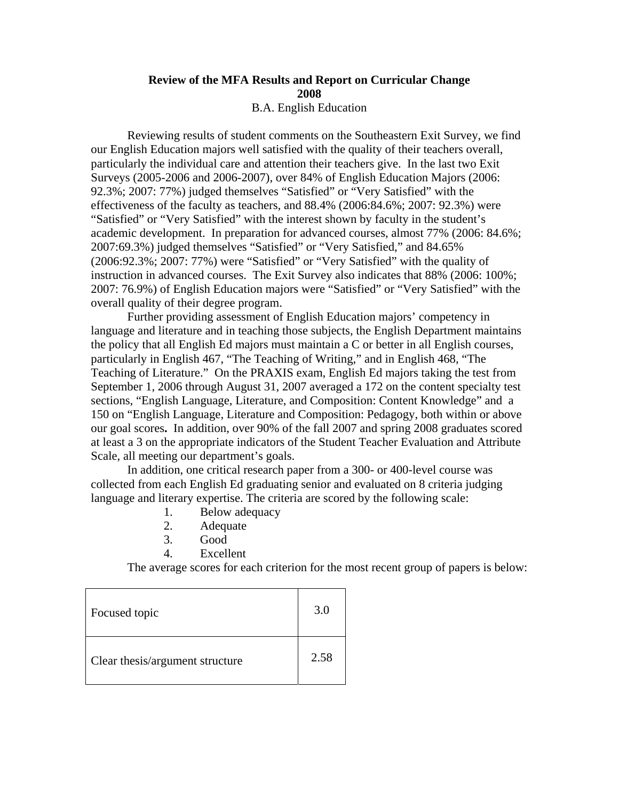## **Review of the MFA Results and Report on Curricular Change 2008**

B.A. English Education

 Reviewing results of student comments on the Southeastern Exit Survey, we find our English Education majors well satisfied with the quality of their teachers overall, particularly the individual care and attention their teachers give. In the last two Exit Surveys (2005-2006 and 2006-2007), over 84% of English Education Majors (2006: 92.3%; 2007: 77%) judged themselves "Satisfied" or "Very Satisfied" with the effectiveness of the faculty as teachers, and 88.4% (2006:84.6%; 2007: 92.3%) were "Satisfied" or "Very Satisfied" with the interest shown by faculty in the student's academic development. In preparation for advanced courses, almost 77% (2006: 84.6%; 2007:69.3%) judged themselves "Satisfied" or "Very Satisfied," and 84.65% (2006:92.3%; 2007: 77%) were "Satisfied" or "Very Satisfied" with the quality of instruction in advanced courses. The Exit Survey also indicates that 88% (2006: 100%; 2007: 76.9%) of English Education majors were "Satisfied" or "Very Satisfied" with the overall quality of their degree program.

Further providing assessment of English Education majors' competency in language and literature and in teaching those subjects, the English Department maintains the policy that all English Ed majors must maintain a C or better in all English courses, particularly in English 467, "The Teaching of Writing," and in English 468, "The Teaching of Literature." On the PRAXIS exam, English Ed majors taking the test from September 1, 2006 through August 31, 2007 averaged a 172 on the content specialty test sections, "English Language, Literature, and Composition: Content Knowledge" and a 150 on "English Language, Literature and Composition: Pedagogy, both within or above our goal scores**.** In addition, over 90% of the fall 2007 and spring 2008 graduates scored at least a 3 on the appropriate indicators of the Student Teacher Evaluation and Attribute Scale, all meeting our department's goals.

In addition, one critical research paper from a 300- or 400-level course was collected from each English Ed graduating senior and evaluated on 8 criteria judging language and literary expertise. The criteria are scored by the following scale:

- 1. Below adequacy
- 2. Adequate
- 3. Good
- 4. Excellent

The average scores for each criterion for the most recent group of papers is below:

| Focused topic                   | 3.0  |
|---------------------------------|------|
| Clear thesis/argument structure | 2.58 |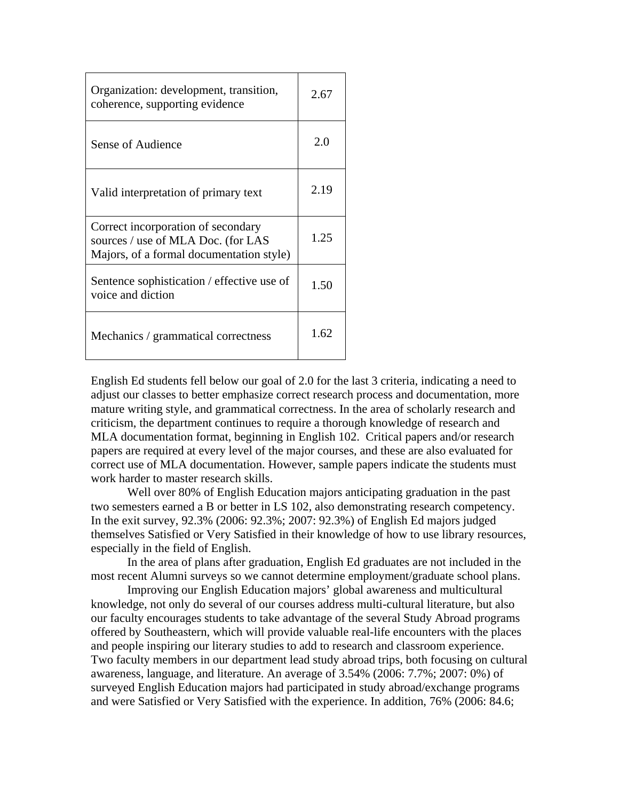| Organization: development, transition,<br>coherence, supporting evidence                                             | 2.67 |
|----------------------------------------------------------------------------------------------------------------------|------|
| Sense of Audience                                                                                                    | 2.0  |
| Valid interpretation of primary text                                                                                 | 2.19 |
| Correct incorporation of secondary<br>sources / use of MLA Doc. (for LAS<br>Majors, of a formal documentation style) | 1.25 |
| Sentence sophistication / effective use of<br>voice and diction                                                      | 1.50 |
| Mechanics / grammatical correctness                                                                                  | 1.62 |

English Ed students fell below our goal of 2.0 for the last 3 criteria, indicating a need to adjust our classes to better emphasize correct research process and documentation, more mature writing style, and grammatical correctness. In the area of scholarly research and criticism, the department continues to require a thorough knowledge of research and MLA documentation format, beginning in English 102. Critical papers and/or research papers are required at every level of the major courses, and these are also evaluated for correct use of MLA documentation. However, sample papers indicate the students must work harder to master research skills.

Well over 80% of English Education majors anticipating graduation in the past two semesters earned a B or better in LS 102, also demonstrating research competency. In the exit survey, 92.3% (2006: 92.3%; 2007: 92.3%) of English Ed majors judged themselves Satisfied or Very Satisfied in their knowledge of how to use library resources, especially in the field of English.

 In the area of plans after graduation, English Ed graduates are not included in the most recent Alumni surveys so we cannot determine employment/graduate school plans.

Improving our English Education majors' global awareness and multicultural knowledge, not only do several of our courses address multi-cultural literature, but also our faculty encourages students to take advantage of the several Study Abroad programs offered by Southeastern, which will provide valuable real-life encounters with the places and people inspiring our literary studies to add to research and classroom experience. Two faculty members in our department lead study abroad trips, both focusing on cultural awareness, language, and literature. An average of 3.54% (2006: 7.7%; 2007: 0%) of surveyed English Education majors had participated in study abroad/exchange programs and were Satisfied or Very Satisfied with the experience. In addition, 76% (2006: 84.6;